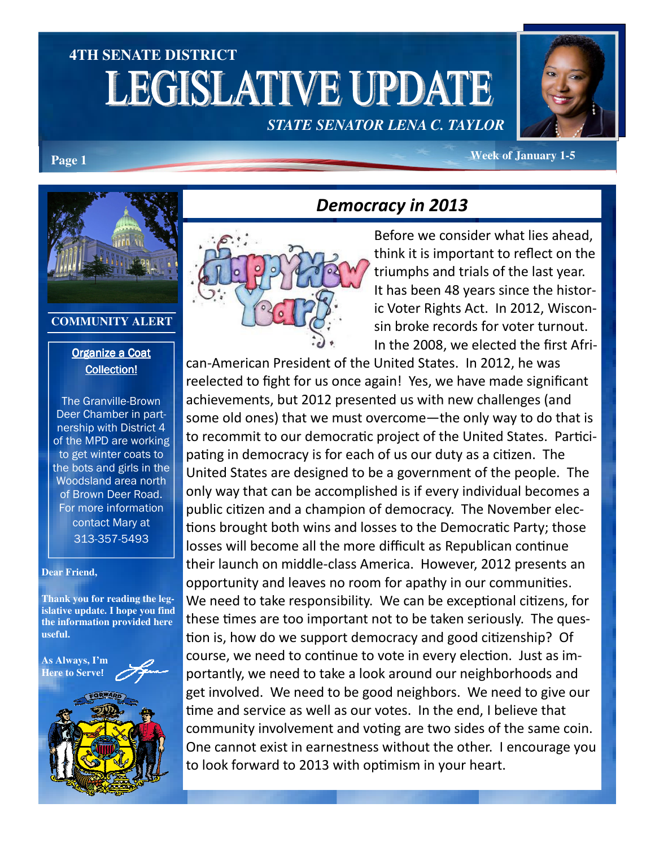## **4TH SENATE DISTRICT**  LEGISLATIVE UPDATE *STATE SENATOR LENA C. TAYLOR*



**Page 1** *Page 1 Page 1 Page 1* **<b>***Page 1 Page 1 Page 1 Page 1 Page 1 Page 1 Page 1 Page 1 Page 1 Page 1 Page 1 Page 1 Page 1 Page 1 Page 1 Page 1 Pag* 



#### **COMMUNITY ALERT**

### Organize a Coat Collection!

The Granville-Brown Deer Chamber in partnership with District 4 of the MPD are working to get winter coats to the bots and girls in the Woodsland area north of Brown Deer Road. For more information contact Mary at 313-357-5493

#### **Dear Friend,**

**Thank you for reading the legislative update. I hope you find the information provided here useful.** 

**As Always, I'm Here to Serve**!



# Democracy in 2013



Before we consider what lies ahead, think it is important to reflect on the triumphs and trials of the last year. It has been 48 years since the historic Voter Rights Act. In 2012, Wisconsin broke records for voter turnout. In the 2008, we elected the first Afri-

can-American President of the United States. In 2012, he was reelected to fight for us once again! Yes, we have made significant achievements, but 2012 presented us with new challenges (and some old ones) that we must overcome—the only way to do that is to recommit to our democratic project of the United States. Participating in democracy is for each of us our duty as a citizen. The United States are designed to be a government of the people. The only way that can be accomplished is if every individual becomes a public citizen and a champion of democracy. The November elections brought both wins and losses to the Democratic Party; those losses will become all the more difficult as Republican continue their launch on middle-class America. However, 2012 presents an opportunity and leaves no room for apathy in our communities. We need to take responsibility. We can be exceptional citizens, for these times are too important not to be taken seriously. The question is, how do we support democracy and good citizenship? Of course, we need to continue to vote in every election. Just as importantly, we need to take a look around our neighborhoods and get involved. We need to be good neighbors. We need to give our time and service as well as our votes. In the end, I believe that community involvement and voting are two sides of the same coin. One cannot exist in earnestness without the other. I encourage you to look forward to 2013 with optimism in your heart.